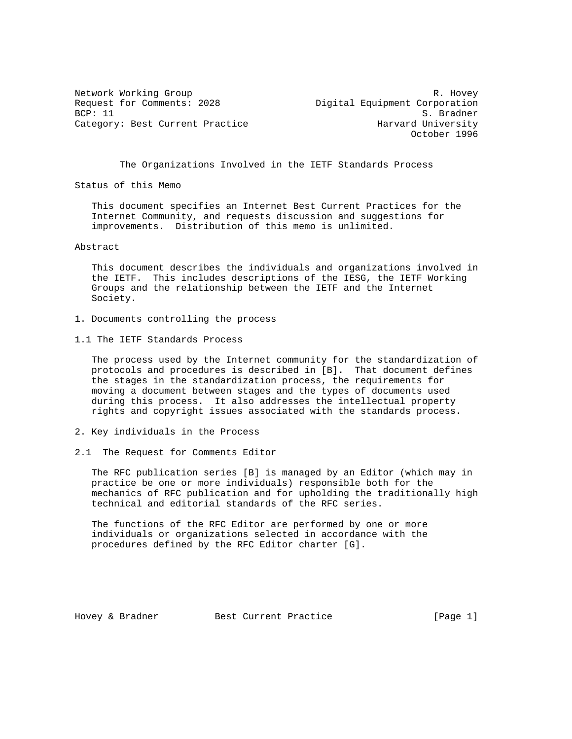Request for Comments: 2028 Digital Equipment Corporation BCP: 11 S. Bradner Category: Best Current Practice

Network Working Group and the set of the set of the set of the set of the set of the set of the set of the set of the set of the set of the set of the set of the set of the set of the set of the set of the set of the set o October 1996

The Organizations Involved in the IETF Standards Process

Status of this Memo

 This document specifies an Internet Best Current Practices for the Internet Community, and requests discussion and suggestions for improvements. Distribution of this memo is unlimited.

Abstract

 This document describes the individuals and organizations involved in the IETF. This includes descriptions of the IESG, the IETF Working Groups and the relationship between the IETF and the Internet Society.

- 1. Documents controlling the process
- 1.1 The IETF Standards Process

 The process used by the Internet community for the standardization of protocols and procedures is described in [B]. That document defines the stages in the standardization process, the requirements for moving a document between stages and the types of documents used during this process. It also addresses the intellectual property rights and copyright issues associated with the standards process.

- 2. Key individuals in the Process
- 2.1 The Request for Comments Editor

 The RFC publication series [B] is managed by an Editor (which may in practice be one or more individuals) responsible both for the mechanics of RFC publication and for upholding the traditionally high technical and editorial standards of the RFC series.

 The functions of the RFC Editor are performed by one or more individuals or organizations selected in accordance with the procedures defined by the RFC Editor charter [G].

Hovey & Bradner Best Current Practice [Page 1]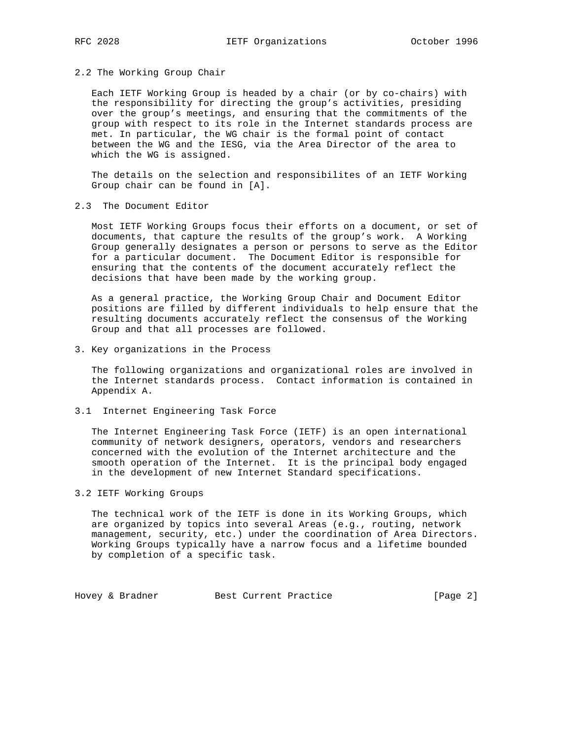#### 2.2 The Working Group Chair

 Each IETF Working Group is headed by a chair (or by co-chairs) with the responsibility for directing the group's activities, presiding over the group's meetings, and ensuring that the commitments of the group with respect to its role in the Internet standards process are met. In particular, the WG chair is the formal point of contact between the WG and the IESG, via the Area Director of the area to which the WG is assigned.

 The details on the selection and responsibilites of an IETF Working Group chair can be found in [A].

2.3 The Document Editor

 Most IETF Working Groups focus their efforts on a document, or set of documents, that capture the results of the group's work. A Working Group generally designates a person or persons to serve as the Editor for a particular document. The Document Editor is responsible for ensuring that the contents of the document accurately reflect the decisions that have been made by the working group.

 As a general practice, the Working Group Chair and Document Editor positions are filled by different individuals to help ensure that the resulting documents accurately reflect the consensus of the Working Group and that all processes are followed.

3. Key organizations in the Process

 The following organizations and organizational roles are involved in the Internet standards process. Contact information is contained in Appendix A.

3.1 Internet Engineering Task Force

 The Internet Engineering Task Force (IETF) is an open international community of network designers, operators, vendors and researchers concerned with the evolution of the Internet architecture and the smooth operation of the Internet. It is the principal body engaged in the development of new Internet Standard specifications.

# 3.2 IETF Working Groups

 The technical work of the IETF is done in its Working Groups, which are organized by topics into several Areas (e.g., routing, network management, security, etc.) under the coordination of Area Directors. Working Groups typically have a narrow focus and a lifetime bounded by completion of a specific task.

Hovey & Bradner Best Current Practice [Page 2]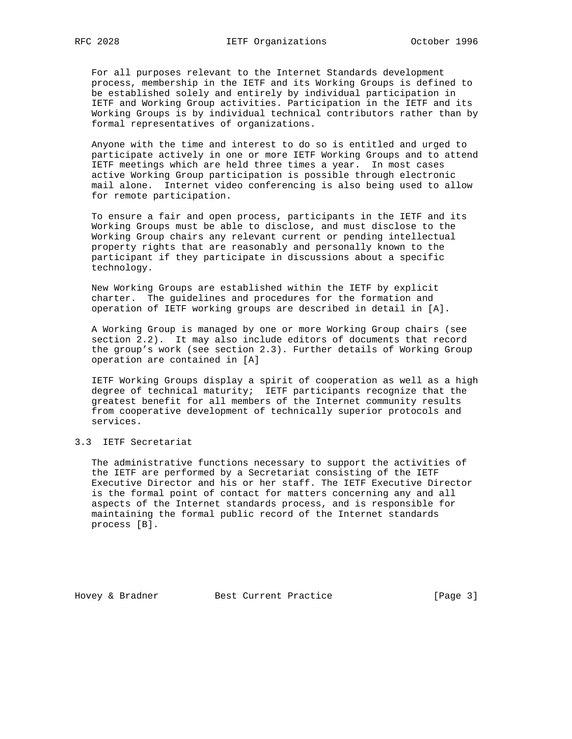For all purposes relevant to the Internet Standards development process, membership in the IETF and its Working Groups is defined to be established solely and entirely by individual participation in IETF and Working Group activities. Participation in the IETF and its Working Groups is by individual technical contributors rather than by formal representatives of organizations.

 Anyone with the time and interest to do so is entitled and urged to participate actively in one or more IETF Working Groups and to attend IETF meetings which are held three times a year. In most cases active Working Group participation is possible through electronic mail alone. Internet video conferencing is also being used to allow for remote participation.

 To ensure a fair and open process, participants in the IETF and its Working Groups must be able to disclose, and must disclose to the Working Group chairs any relevant current or pending intellectual property rights that are reasonably and personally known to the participant if they participate in discussions about a specific technology.

 New Working Groups are established within the IETF by explicit charter. The guidelines and procedures for the formation and operation of IETF working groups are described in detail in [A].

 A Working Group is managed by one or more Working Group chairs (see section 2.2). It may also include editors of documents that record the group's work (see section 2.3). Further details of Working Group operation are contained in [A]

 IETF Working Groups display a spirit of cooperation as well as a high degree of technical maturity; IETF participants recognize that the greatest benefit for all members of the Internet community results from cooperative development of technically superior protocols and services.

# 3.3 IETF Secretariat

 The administrative functions necessary to support the activities of the IETF are performed by a Secretariat consisting of the IETF Executive Director and his or her staff. The IETF Executive Director is the formal point of contact for matters concerning any and all aspects of the Internet standards process, and is responsible for maintaining the formal public record of the Internet standards process [B].

Hovey & Bradner Best Current Practice [Page 3]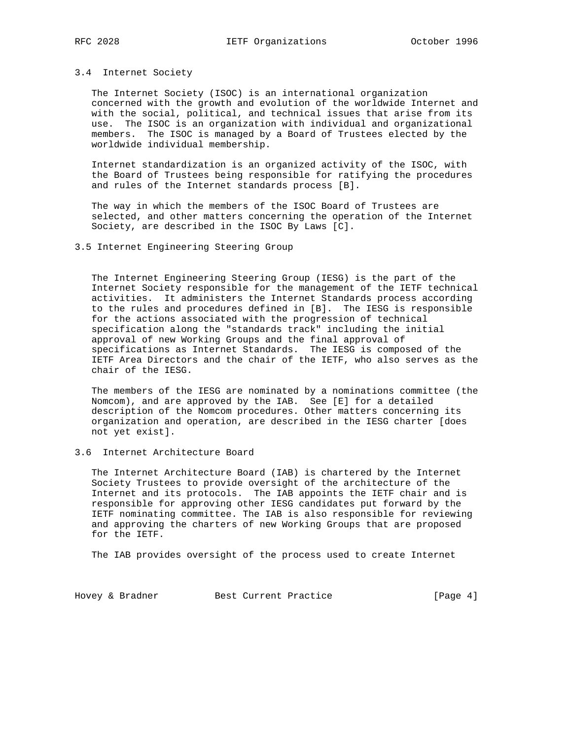### 3.4 Internet Society

 The Internet Society (ISOC) is an international organization concerned with the growth and evolution of the worldwide Internet and with the social, political, and technical issues that arise from its use. The ISOC is an organization with individual and organizational members. The ISOC is managed by a Board of Trustees elected by the worldwide individual membership.

 Internet standardization is an organized activity of the ISOC, with the Board of Trustees being responsible for ratifying the procedures and rules of the Internet standards process [B].

 The way in which the members of the ISOC Board of Trustees are selected, and other matters concerning the operation of the Internet Society, are described in the ISOC By Laws [C].

# 3.5 Internet Engineering Steering Group

 The Internet Engineering Steering Group (IESG) is the part of the Internet Society responsible for the management of the IETF technical activities. It administers the Internet Standards process according to the rules and procedures defined in [B]. The IESG is responsible for the actions associated with the progression of technical specification along the "standards track" including the initial approval of new Working Groups and the final approval of specifications as Internet Standards. The IESG is composed of the IETF Area Directors and the chair of the IETF, who also serves as the chair of the IESG.

 The members of the IESG are nominated by a nominations committee (the Nomcom), and are approved by the IAB. See [E] for a detailed description of the Nomcom procedures. Other matters concerning its organization and operation, are described in the IESG charter [does not yet exist].

# 3.6 Internet Architecture Board

 The Internet Architecture Board (IAB) is chartered by the Internet Society Trustees to provide oversight of the architecture of the Internet and its protocols. The IAB appoints the IETF chair and is responsible for approving other IESG candidates put forward by the IETF nominating committee. The IAB is also responsible for reviewing and approving the charters of new Working Groups that are proposed for the IETF.

The IAB provides oversight of the process used to create Internet

Hovey & Bradner Best Current Practice [Page 4]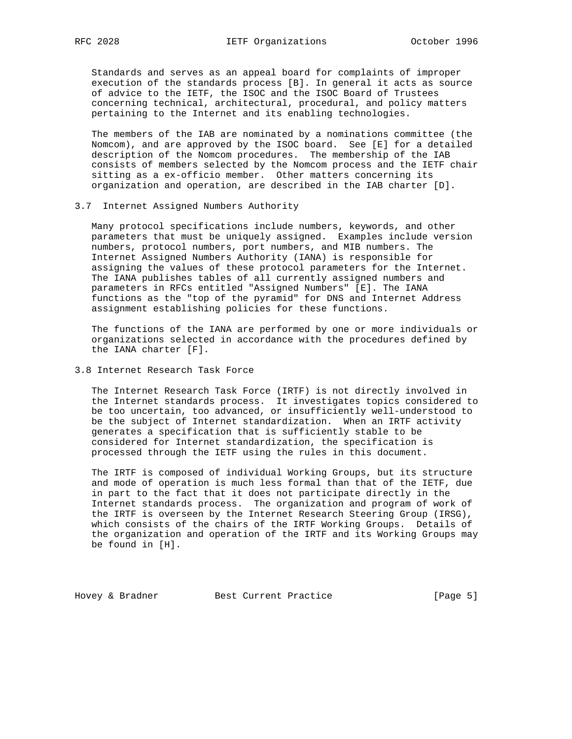Standards and serves as an appeal board for complaints of improper execution of the standards process [B]. In general it acts as source of advice to the IETF, the ISOC and the ISOC Board of Trustees concerning technical, architectural, procedural, and policy matters pertaining to the Internet and its enabling technologies.

 The members of the IAB are nominated by a nominations committee (the Nomcom), and are approved by the ISOC board. See [E] for a detailed description of the Nomcom procedures. The membership of the IAB consists of members selected by the Nomcom process and the IETF chair sitting as a ex-officio member. Other matters concerning its organization and operation, are described in the IAB charter [D].

#### 3.7 Internet Assigned Numbers Authority

 Many protocol specifications include numbers, keywords, and other parameters that must be uniquely assigned. Examples include version numbers, protocol numbers, port numbers, and MIB numbers. The Internet Assigned Numbers Authority (IANA) is responsible for assigning the values of these protocol parameters for the Internet. The IANA publishes tables of all currently assigned numbers and parameters in RFCs entitled "Assigned Numbers" [E]. The IANA functions as the "top of the pyramid" for DNS and Internet Address assignment establishing policies for these functions.

 The functions of the IANA are performed by one or more individuals or organizations selected in accordance with the procedures defined by the IANA charter [F].

## 3.8 Internet Research Task Force

 The Internet Research Task Force (IRTF) is not directly involved in the Internet standards process. It investigates topics considered to be too uncertain, too advanced, or insufficiently well-understood to be the subject of Internet standardization. When an IRTF activity generates a specification that is sufficiently stable to be considered for Internet standardization, the specification is processed through the IETF using the rules in this document.

 The IRTF is composed of individual Working Groups, but its structure and mode of operation is much less formal than that of the IETF, due in part to the fact that it does not participate directly in the Internet standards process. The organization and program of work of the IRTF is overseen by the Internet Research Steering Group (IRSG), which consists of the chairs of the IRTF Working Groups. Details of the organization and operation of the IRTF and its Working Groups may be found in [H].

Hovey & Bradner Best Current Practice [Page 5]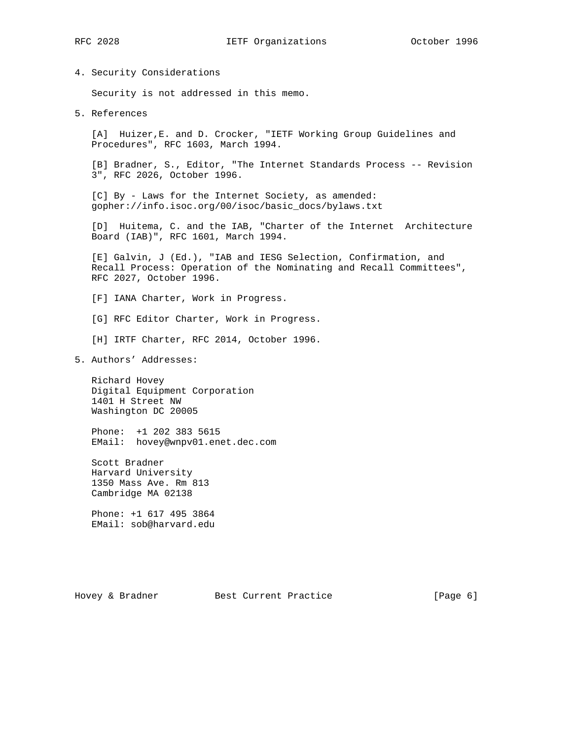4. Security Considerations

Security is not addressed in this memo.

5. References

 [A] Huizer,E. and D. Crocker, "IETF Working Group Guidelines and Procedures", RFC 1603, March 1994.

 [B] Bradner, S., Editor, "The Internet Standards Process -- Revision 3", RFC 2026, October 1996.

 [C] By - Laws for the Internet Society, as amended: gopher://info.isoc.org/00/isoc/basic\_docs/bylaws.txt

 [D] Huitema, C. and the IAB, "Charter of the Internet Architecture Board (IAB)", RFC 1601, March 1994.

 [E] Galvin, J (Ed.), "IAB and IESG Selection, Confirmation, and Recall Process: Operation of the Nominating and Recall Committees", RFC 2027, October 1996.

[F] IANA Charter, Work in Progress.

[G] RFC Editor Charter, Work in Progress.

[H] IRTF Charter, RFC 2014, October 1996.

5. Authors' Addresses:

 Richard Hovey Digital Equipment Corporation 1401 H Street NW Washington DC 20005

 Phone: +1 202 383 5615 EMail: hovey@wnpv01.enet.dec.com

 Scott Bradner Harvard University 1350 Mass Ave. Rm 813 Cambridge MA 02138

 Phone: +1 617 495 3864 EMail: sob@harvard.edu

Hovey & Bradner Best Current Practice [Page 6]